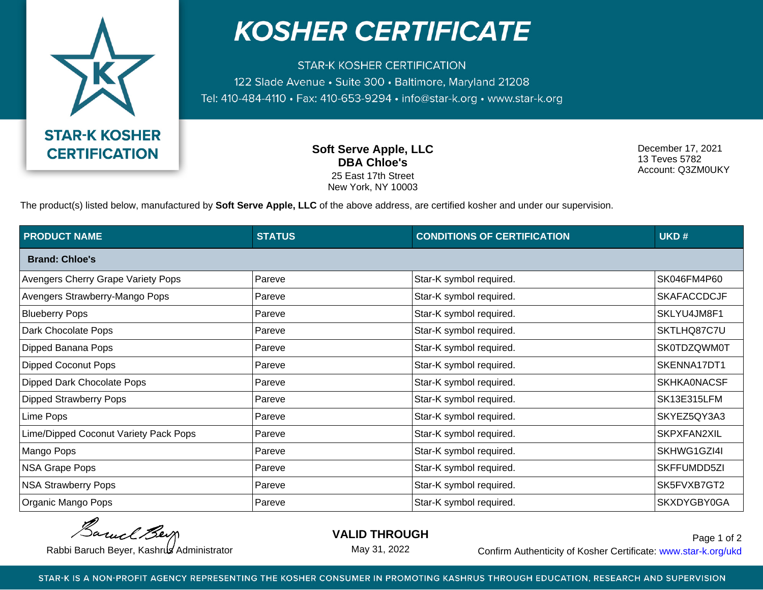

## **KOSHER CERTIFICATE**

**STAR-K KOSHER CERTIFICATION** 122 Slade Avenue · Suite 300 · Baltimore, Maryland 21208 Tel: 410-484-4110 · Fax: 410-653-9294 · info@star-k.org · www.star-k.org

> **Soft Serve Apple, LLC DBA Chloe's** 25 East 17th Street New York, NY 10003

December 17, 2021 13 Teves 5782 Account: Q3ZM0UKY

The product(s) listed below, manufactured by **Soft Serve Apple, LLC** of the above address, are certified kosher and under our supervision.

| <b>PRODUCT NAME</b>                   | <b>STATUS</b> | <b>CONDITIONS OF CERTIFICATION</b> | UKD#               |
|---------------------------------------|---------------|------------------------------------|--------------------|
| <b>Brand: Chloe's</b>                 |               |                                    |                    |
| Avengers Cherry Grape Variety Pops    | Pareve        | Star-K symbol required.            | SK046FM4P60        |
| Avengers Strawberry-Mango Pops        | Pareve        | Star-K symbol required.            | <b>SKAFACCDCJF</b> |
| <b>Blueberry Pops</b>                 | Pareve        | Star-K symbol required.            | SKLYU4JM8F1        |
| Dark Chocolate Pops                   | Pareve        | Star-K symbol required.            | SKTLHQ87C7U        |
| Dipped Banana Pops                    | Pareve        | Star-K symbol required.            | SK0TDZQWM0T        |
| <b>Dipped Coconut Pops</b>            | Pareve        | Star-K symbol required.            | SKENNA17DT1        |
| Dipped Dark Chocolate Pops            | Pareve        | Star-K symbol required.            | <b>SKHKA0NACSF</b> |
| <b>Dipped Strawberry Pops</b>         | Pareve        | Star-K symbol required.            | SK13E315LFM        |
| Lime Pops                             | Pareve        | Star-K symbol required.            | SKYEZ5QY3A3        |
| Lime/Dipped Coconut Variety Pack Pops | Pareve        | Star-K symbol required.            | SKPXFAN2XIL        |
| Mango Pops                            | Pareve        | Star-K symbol required.            | SKHWG1GZI4I        |
| NSA Grape Pops                        | Pareve        | Star-K symbol required.            | SKFFUMDD5ZI        |
| <b>NSA Strawberry Pops</b>            | Pareve        | Star-K symbol required.            | SK5FVXB7GT2        |
| Organic Mango Pops                    | Pareve        | Star-K symbol required.            | SKXDYGBY0GA        |

Barnel Berg

**VALID THROUGH**

May 31, 2022

Rabbi Baruch Beyer, Kashrus Administrator **Confirm Authenticity of Kosher Certificate:** www.star-k.org/ukd Page 1 of 2

STAR-K IS A NON-PROFIT AGENCY REPRESENTING THE KOSHER CONSUMER IN PROMOTING KASHRUS THROUGH EDUCATION, RESEARCH AND SUPERVISION